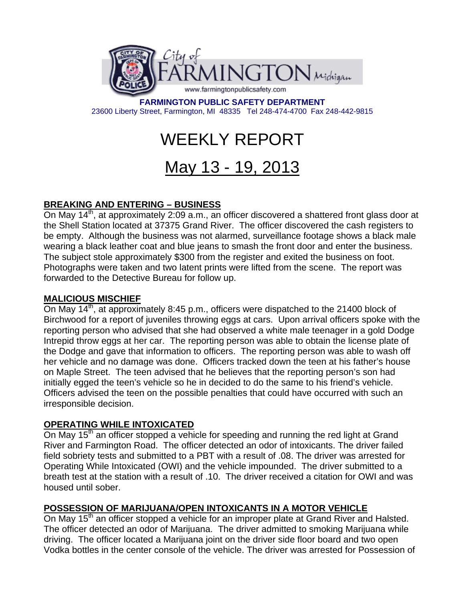

**FARMINGTON PUBLIC SAFETY DEPARTMENT**  23600 Liberty Street, Farmington, MI 48335 Tel 248-474-4700 Fax 248-442-9815

# WEEKLY REPORT

# May 13 - 19, 2013

## **BREAKING AND ENTERING – BUSINESS**

On May 14<sup>th</sup>, at approximately 2:09 a.m., an officer discovered a shattered front glass door at the Shell Station located at 37375 Grand River. The officer discovered the cash registers to be empty. Although the business was not alarmed, surveillance footage shows a black male wearing a black leather coat and blue jeans to smash the front door and enter the business. The subject stole approximately \$300 from the register and exited the business on foot. Photographs were taken and two latent prints were lifted from the scene. The report was forwarded to the Detective Bureau for follow up.

#### **MALICIOUS MISCHIEF**

On May 14<sup>th</sup>, at approximately 8:45 p.m., officers were dispatched to the 21400 block of Birchwood for a report of juveniles throwing eggs at cars. Upon arrival officers spoke with the reporting person who advised that she had observed a white male teenager in a gold Dodge Intrepid throw eggs at her car. The reporting person was able to obtain the license plate of the Dodge and gave that information to officers. The reporting person was able to wash off her vehicle and no damage was done. Officers tracked down the teen at his father's house on Maple Street. The teen advised that he believes that the reporting person's son had initially egged the teen's vehicle so he in decided to do the same to his friend's vehicle. Officers advised the teen on the possible penalties that could have occurred with such an irresponsible decision.

#### **OPERATING WHILE INTOXICATED**

On May 15<sup>th</sup> an officer stopped a vehicle for speeding and running the red light at Grand River and Farmington Road. The officer detected an odor of intoxicants. The driver failed field sobriety tests and submitted to a PBT with a result of .08. The driver was arrested for Operating While Intoxicated (OWI) and the vehicle impounded. The driver submitted to a breath test at the station with a result of .10. The driver received a citation for OWI and was housed until sober.

### **POSSESSION OF MARIJUANA/OPEN INTOXICANTS IN A MOTOR VEHICLE**

On May 15<sup>th</sup> an officer stopped a vehicle for an improper plate at Grand River and Halsted. The officer detected an odor of Marijuana. The driver admitted to smoking Marijuana while driving. The officer located a Marijuana joint on the driver side floor board and two open Vodka bottles in the center console of the vehicle. The driver was arrested for Possession of